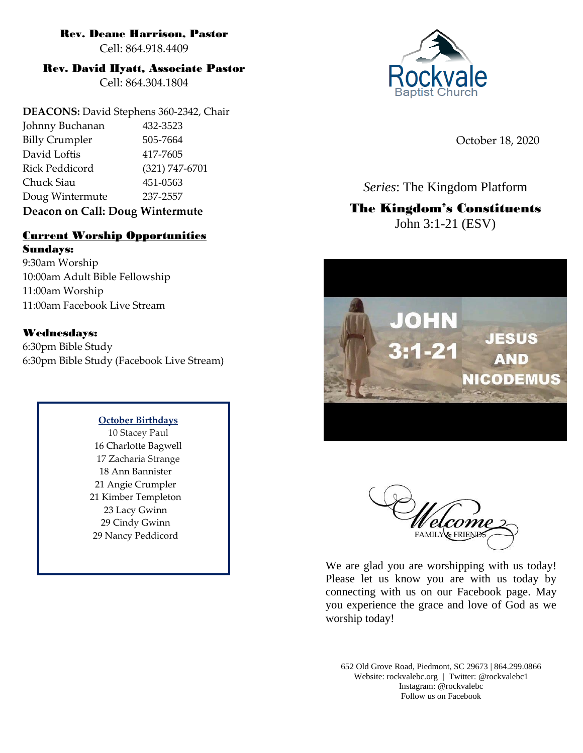# Rev. Deane Harrison, Pastor

Cell: 864.918.4409

# Rev. David Hyatt, Associate Pastor

Cell: 864.304.1804

**DEACONS:** David Stephens 360-2342, Chair Johnny Buchanan 432-3523 Billy Crumpler 505-7664 David Loftis 417-7605 Rick Peddicord (321) 747-6701 Chuck Siau 451-0563 Doug Wintermute 237-2557

# **Deacon on Call: Doug Wintermute**

# Current Worship Opportunities

Sundays: 9:30am Worship 10:00am Adult Bible Fellowship 11:00am Worship 11:00am Facebook Live Stream

# Wednesdays:

6:30pm Bible Study 6:30pm Bible Study (Facebook Live Stream)

## **October Birthdays**

10 Stacey Paul 16 Charlotte Bagwell 17 Zacharia Strange 18 Ann Bannister 21 Angie Crumpler 21 Kimber Templeton 23 Lacy Gwinn 29 Cindy Gwinn 29 Nancy Peddicord



October 18, 2020

*Series*: The Kingdom Platform

# The Kingdom's Constituents John 3:1-21 (ESV)





We are glad you are worshipping with us today! Please let us know you are with us today by connecting with us on our Facebook page. May you experience the grace and love of God as we worship today!

652 Old Grove Road, Piedmont, SC 29673 | 864.299.0866 Website: rockvalebc.org *|* Twitter: @rockvalebc1 Instagram: @rockvalebc Follow us on Facebook